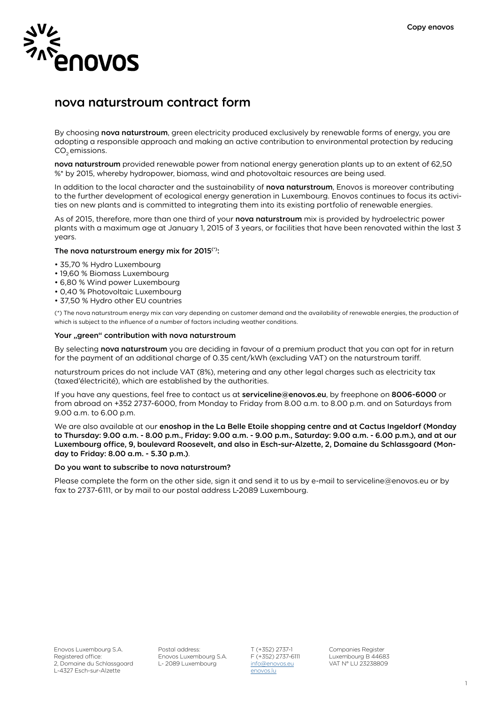

# nova naturstroum contract form

By choosing nova naturstroum, green electricity produced exclusively by renewable forms of energy, you are adopting a responsible approach and making an active contribution to environmental protection by reducing CO<sub>2</sub> emissions.

nova naturstroum provided renewable power from national energy generation plants up to an extent of 62,50 %\* by 2015, whereby hydropower, biomass, wind and photovoltaic resources are being used.

In addition to the local character and the sustainability of nova naturstroum, Enovos is moreover contributing to the further development of ecological energy generation in Luxembourg. Enovos continues to focus its activities on new plants and is committed to integrating them into its existing portfolio of renewable energies.

As of 2015, therefore, more than one third of your nova naturstroum mix is provided by hydroelectric power plants with a maximum age at January 1, 2015 of 3 years, or facilities that have been renovated within the last 3 years.

### The nova naturstroum energy mix for 2015<sup>(\*)</sup>:

- 35,70 % Hydro Luxembourg
- 19,60 % Biomass Luxembourg
- 6,80 % Wind power Luxembourg
- 0,40 % Photovoltaic Luxembourg
- 37,50 % Hydro other EU countries

(\*) The nova naturstroum energy mix can vary depending on customer demand and the availability of renewable energies, the production of which is subject to the influence of a number of factors including weather conditions.

# Your "green" contribution with nova naturstroum

By selecting nova naturstroum you are deciding in favour of a premium product that you can opt for in return for the payment of an additional charge of 0.35 cent/kWh (excluding VAT) on the naturstroum tariff.

naturstroum prices do not include VAT (8%), metering and any other legal charges such as electricity tax (taxed'électricité), which are established by the authorities.

If you have any questions, feel free to contact us at serviceline@enovos.eu, by freephone on 8006-6000 or from abroad on +352 2737-6000, from Monday to Friday from 8.00 a.m. to 8.00 p.m. and on Saturdays from 9.00 a.m. to 6.00 p.m.

We are also available at our enoshop in the La Belle Etoile shopping centre and at Cactus Ingeldorf (Monday to Thursday: 9.00 a.m. - 8.00 p.m., Friday: 9.00 a.m. - 9.00 p.m., Saturday: 9.00 a.m. - 6.00 p.m.), and at our Luxembourg office, 9, boulevard Roosevelt, and also in Esch-sur-Alzette, 2, Domaine du Schlassgoard (Monday to Friday: 8.00 a.m. - 5.30 p.m.).

### Do you want to subscribe to nova naturstroum?

Please complete the form on the other side, sign it and send it to us by e-mail to serviceline@enovos.eu or by fax to 2737-6111, or by mail to our postal address L-2089 Luxembourg.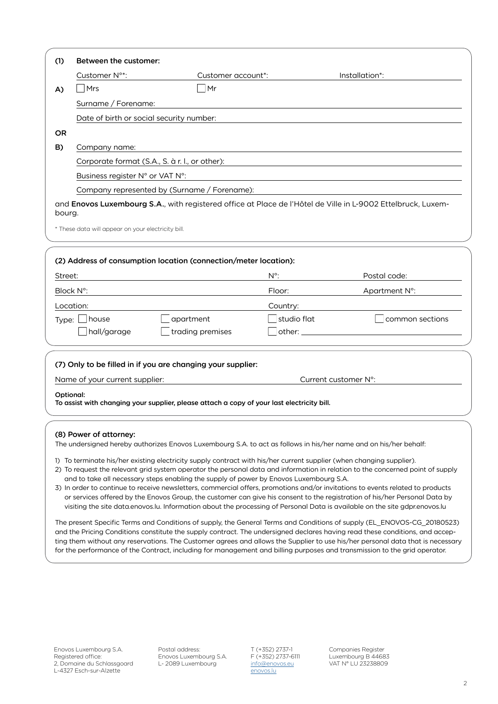| (1)                                                                                                               | Between the customer:                                                                                                                                                                                                                                          |                                                                                            |               |                                                                                                                                                                                                                                |  |                                              |  |  |
|-------------------------------------------------------------------------------------------------------------------|----------------------------------------------------------------------------------------------------------------------------------------------------------------------------------------------------------------------------------------------------------------|--------------------------------------------------------------------------------------------|---------------|--------------------------------------------------------------------------------------------------------------------------------------------------------------------------------------------------------------------------------|--|----------------------------------------------|--|--|
|                                                                                                                   | Customer N°*:                                                                                                                                                                                                                                                  | Customer account*:                                                                         |               | Installation*:                                                                                                                                                                                                                 |  |                                              |  |  |
| A)                                                                                                                | $\overline{\mathsf{Mrs}}$                                                                                                                                                                                                                                      | ∣Mr                                                                                        |               |                                                                                                                                                                                                                                |  |                                              |  |  |
|                                                                                                                   | Surname / Forename:                                                                                                                                                                                                                                            |                                                                                            |               |                                                                                                                                                                                                                                |  |                                              |  |  |
|                                                                                                                   | Date of birth or social security number:                                                                                                                                                                                                                       |                                                                                            |               |                                                                                                                                                                                                                                |  |                                              |  |  |
| OR.                                                                                                               |                                                                                                                                                                                                                                                                |                                                                                            |               |                                                                                                                                                                                                                                |  |                                              |  |  |
| B)                                                                                                                | Company name:                                                                                                                                                                                                                                                  |                                                                                            |               |                                                                                                                                                                                                                                |  |                                              |  |  |
| Corporate format (S.A., S. à r. l., or other):<br>Business register N° or VAT N°:                                 |                                                                                                                                                                                                                                                                |                                                                                            |               |                                                                                                                                                                                                                                |  |                                              |  |  |
|                                                                                                                   |                                                                                                                                                                                                                                                                |                                                                                            |               |                                                                                                                                                                                                                                |  | Company represented by (Surname / Forename): |  |  |
|                                                                                                                   | and Enovos Luxembourg S.A., with registered office at Place de l'Hôtel de Ville in L-9002 Ettelbruck, Luxem-                                                                                                                                                   |                                                                                            |               |                                                                                                                                                                                                                                |  |                                              |  |  |
| bourg.                                                                                                            |                                                                                                                                                                                                                                                                |                                                                                            |               |                                                                                                                                                                                                                                |  |                                              |  |  |
|                                                                                                                   | * These data will appear on your electricity bill.                                                                                                                                                                                                             |                                                                                            |               |                                                                                                                                                                                                                                |  |                                              |  |  |
|                                                                                                                   |                                                                                                                                                                                                                                                                |                                                                                            |               |                                                                                                                                                                                                                                |  |                                              |  |  |
|                                                                                                                   |                                                                                                                                                                                                                                                                | (2) Address of consumption location (connection/meter location):                           |               |                                                                                                                                                                                                                                |  |                                              |  |  |
| Street:                                                                                                           |                                                                                                                                                                                                                                                                |                                                                                            | $N^{\circ}$ : | Postal code:                                                                                                                                                                                                                   |  |                                              |  |  |
|                                                                                                                   | Block N°:                                                                                                                                                                                                                                                      |                                                                                            | Floor:        | Apartment N°:                                                                                                                                                                                                                  |  |                                              |  |  |
|                                                                                                                   | Location:                                                                                                                                                                                                                                                      |                                                                                            | Country:      |                                                                                                                                                                                                                                |  |                                              |  |  |
| Type: $\lfloor$                                                                                                   |                                                                                                                                                                                                                                                                | apartment                                                                                  | studio flat   | common sections                                                                                                                                                                                                                |  |                                              |  |  |
|                                                                                                                   | hall/garage                                                                                                                                                                                                                                                    | trading premises                                                                           |               | other: when the contract of the contract of the contract of the contract of the contract of the contract of the contract of the contract of the contract of the contract of the contract of the contract of the contract of th |  |                                              |  |  |
|                                                                                                                   |                                                                                                                                                                                                                                                                |                                                                                            |               |                                                                                                                                                                                                                                |  |                                              |  |  |
|                                                                                                                   |                                                                                                                                                                                                                                                                | (7) Only to be filled in if you are changing your supplier:                                |               |                                                                                                                                                                                                                                |  |                                              |  |  |
|                                                                                                                   | Current customer N°:<br>Name of your current supplier:                                                                                                                                                                                                         |                                                                                            |               |                                                                                                                                                                                                                                |  |                                              |  |  |
|                                                                                                                   | Optional:                                                                                                                                                                                                                                                      |                                                                                            |               |                                                                                                                                                                                                                                |  |                                              |  |  |
|                                                                                                                   |                                                                                                                                                                                                                                                                | To assist with changing your supplier, please attach a copy of your last electricity bill. |               |                                                                                                                                                                                                                                |  |                                              |  |  |
|                                                                                                                   |                                                                                                                                                                                                                                                                |                                                                                            |               |                                                                                                                                                                                                                                |  |                                              |  |  |
|                                                                                                                   | (8) Power of attorney:                                                                                                                                                                                                                                         |                                                                                            |               |                                                                                                                                                                                                                                |  |                                              |  |  |
| The undersigned hereby authorizes Enovos Luxembourg S.A. to act as follows in his/her name and on his/her behalf: |                                                                                                                                                                                                                                                                |                                                                                            |               |                                                                                                                                                                                                                                |  |                                              |  |  |
|                                                                                                                   | 1) To terminate his/her existing electricity supply contract with his/her current supplier (when changing supplier).<br>2) To request the relevant grid system operator the personal data and information in relation to the concerned point of supply         |                                                                                            |               |                                                                                                                                                                                                                                |  |                                              |  |  |
|                                                                                                                   | and to take all necessary steps enabling the supply of power by Enovos Luxembourg S.A.                                                                                                                                                                         |                                                                                            |               |                                                                                                                                                                                                                                |  |                                              |  |  |
|                                                                                                                   | 3) In order to continue to receive newsletters, commercial offers, promotions and/or invitations to events related to products<br>or services offered by the Enovos Group, the customer can give his consent to the registration of his/her Personal Data by   |                                                                                            |               |                                                                                                                                                                                                                                |  |                                              |  |  |
|                                                                                                                   | visiting the site data.enovos.lu. Information about the processing of Personal Data is available on the site gdpr.enovos.lu                                                                                                                                    |                                                                                            |               |                                                                                                                                                                                                                                |  |                                              |  |  |
|                                                                                                                   | The present Specific Terms and Conditions of supply, the General Terms and Conditions of supply (EL ENOVOS-CG 20180523)                                                                                                                                        |                                                                                            |               |                                                                                                                                                                                                                                |  |                                              |  |  |
|                                                                                                                   | and the Pricing Conditions constitute the supply contract. The undersigned declares having read these conditions, and accep-<br>ting them without any reservations. The Customer agrees and allows the Supplier to use his/her personal data that is necessary |                                                                                            |               |                                                                                                                                                                                                                                |  |                                              |  |  |
|                                                                                                                   | for the performance of the Contract, including for management and billing purposes and transmission to the grid operator.                                                                                                                                      |                                                                                            |               |                                                                                                                                                                                                                                |  |                                              |  |  |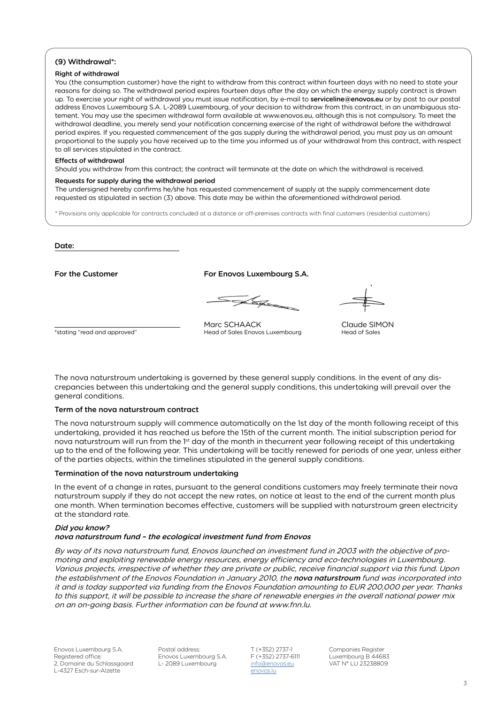# (9) Withdrawal\*:

## Right of withdrawal

You (the consumption customer) have the right to withdraw from this contract within fourteen days with no need to state your reasons for doing so. The withdrawal period expires fourteen days after the day on which the energy supply contract is drawn up. To exercise your right of withdrawal you must issue notification, by e-mail to serviceline@enovos.eu or by post to our postal address Enovos Luxembourg S.A. L-2089 Luxembourg, of your decision to withdraw from this contract, in an unambiguous statement. You may use the specimen withdrawal form available at www.enovos.eu, although this is not compulsory. To meet the withdrawal deadline, you merely send your notification concerning exercise of the right of withdrawal before the withdrawal period expires. If you requested commencement of the gas supply during the withdrawal period, you must pay us an amount proportional to the supply you have received up to the time you informed us of your withdrawal from this contract, with respect to all services stipulated in the contract.

#### Effects of withdrawal

Should you withdraw from this contract; the contract will terminate at the date on which the withdrawal is received.

#### Requests for supply during the withdrawal period

The undersigned hereby confirms he/she has requested commencement of supply at the supply commencement date requested as stipulated in section (3) above. This date may be within the aforementioned withdrawal period.

\* Provisions only applicable for contracts concluded at a distance or off-premises contracts with final customers (residential customers)

Date:

For the Customer For Enovos Luxembourg S.A.

Les

Marc SCHAACK Claude SIMON<br>
Head of Sales Enovos Luxembourg<br>
Head of Sales

\*stating "read and approved"

The nova naturstroum undertaking is governed by these general supply conditions. In the event of any discrepancies between this undertaking and the general supply conditions, this undertaking will prevail over the general conditions.

# Term of the nova naturstroum contract

The nova naturstroum supply will commence automatically on the 1st day of the month following receipt of this undertaking, provided it has reached us before the 15th of the current month. The initial subscription period for nova naturstroum will run from the 1<sup>st</sup> day of the month in thecurrent year following receipt of this undertaking up to the end of the following year. This undertaking will be tacitly renewed for periods of one year, unless either of the parties objects, within the timelines stipulated in the general supply conditions.

### Termination of the nova naturstroum undertaking

In the event of a change in rates, pursuant to the general conditions customers may freely terminate their nova naturstroum supply if they do not accept the new rates, on notice at least to the end of the current month plus one month. When termination becomes effective, customers will be supplied with naturstroum green electricity at the standard rate.

# Did you know?

# nova naturstroum fund – the ecological investment fund from Enovos

By way of its nova naturstroum fund, Enovos launched an investment fund in 2003 with the objective of promoting and exploiting renewable energy resources, energy efficiency and eco-technologies in Luxembourg. Various projects, irrespective of whether they are private or public, receive financial support via this fund. Upon the establishment of the Enovos Foundation in January 2010, the nova naturstroum fund was incorporated into it and is today supported via funding from the Enovos Foundation amounting to EUR 200,000 per year. Thanks to this support, it will be possible to increase the share of renewable energies in the overall national power mix on an on-going basis. Further information can be found at www.fnn.lu.

Enovos Luxembourg S.A. F (+352) 2737-6111 Luxembourg B 44683<br>L- 2089 Luxembourg info@enovos.eu VAT N° LU 23238809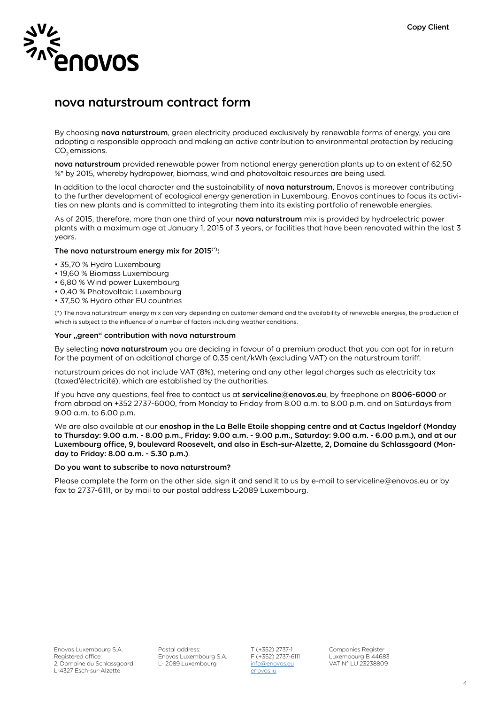

# nova naturstroum contract form

By choosing nova naturstroum, green electricity produced exclusively by renewable forms of energy, you are adopting a responsible approach and making an active contribution to environmental protection by reducing CO<sub>2</sub> emissions.

nova naturstroum provided renewable power from national energy generation plants up to an extent of 62,50 %\* by 2015, whereby hydropower, biomass, wind and photovoltaic resources are being used.

In addition to the local character and the sustainability of nova naturstroum, Enovos is moreover contributing to the further development of ecological energy generation in Luxembourg. Enovos continues to focus its activities on new plants and is committed to integrating them into its existing portfolio of renewable energies.

As of 2015, therefore, more than one third of your nova naturstroum mix is provided by hydroelectric power plants with a maximum age at January 1, 2015 of 3 years, or facilities that have been renovated within the last 3 years.

# The nova naturstroum energy mix for 2015<sup>(\*)</sup>:

- 35,70 % Hydro Luxembourg
- 19,60 % Biomass Luxembourg
- 6,80 % Wind power Luxembourg
- 0,40 % Photovoltaic Luxembourg
- 37,50 % Hydro other EU countries

(\*) The nova naturstroum energy mix can vary depending on customer demand and the availability of renewable energies, the production of which is subject to the influence of a number of factors including weather conditions.

# Your "green" contribution with nova naturstroum

By selecting nova naturstroum you are deciding in favour of a premium product that you can opt for in return for the payment of an additional charge of 0.35 cent/kWh (excluding VAT) on the naturstroum tariff.

naturstroum prices do not include VAT (8%), metering and any other legal charges such as electricity tax (taxed'électricité), which are established by the authorities.

If you have any questions, feel free to contact us at serviceline@enovos.eu, by freephone on 8006-6000 or from abroad on +352 2737-6000, from Monday to Friday from 8.00 a.m. to 8.00 p.m. and on Saturdays from 9.00 a.m. to 6.00 p.m.

We are also available at our enoshop in the La Belle Etoile shopping centre and at Cactus Ingeldorf (Monday to Thursday: 9.00 a.m. - 8.00 p.m., Friday: 9.00 a.m. - 9.00 p.m., Saturday: 9.00 a.m. - 6.00 p.m.), and at our Luxembourg office, 9, boulevard Roosevelt, and also in Esch-sur-Alzette, 2, Domaine du Schlassgoard (Monday to Friday: 8.00 a.m. - 5.30 p.m.).

### Do you want to subscribe to nova naturstroum?

Please complete the form on the other side, sign it and send it to us by e-mail to serviceline@enovos.eu or by fax to 2737-6111, or by mail to our postal address L-2089 Luxembourg.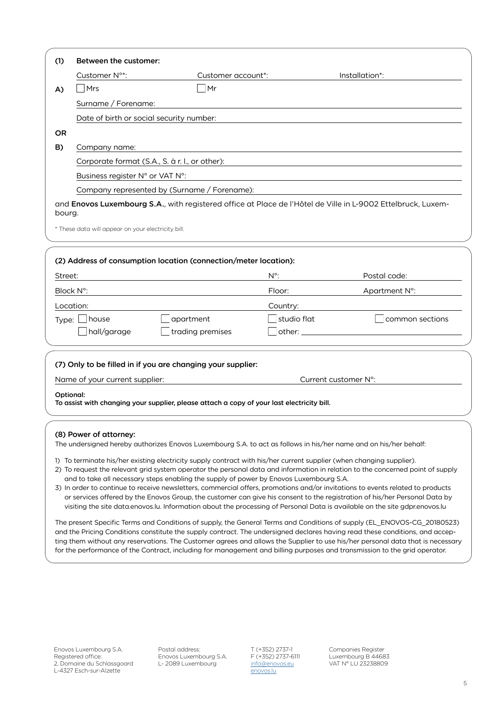| (1)                                                                                                               | Between the customer:                                                                                                                                                                                                                                          |                                                                                            |               |                                                                                                                                                                                                                                |  |                                              |  |  |
|-------------------------------------------------------------------------------------------------------------------|----------------------------------------------------------------------------------------------------------------------------------------------------------------------------------------------------------------------------------------------------------------|--------------------------------------------------------------------------------------------|---------------|--------------------------------------------------------------------------------------------------------------------------------------------------------------------------------------------------------------------------------|--|----------------------------------------------|--|--|
|                                                                                                                   | Customer N°*:                                                                                                                                                                                                                                                  | Customer account*:                                                                         |               | Installation*:                                                                                                                                                                                                                 |  |                                              |  |  |
| A)                                                                                                                | $\overline{\mathsf{Mrs}}$                                                                                                                                                                                                                                      | ∣Mr                                                                                        |               |                                                                                                                                                                                                                                |  |                                              |  |  |
|                                                                                                                   | Surname / Forename:                                                                                                                                                                                                                                            |                                                                                            |               |                                                                                                                                                                                                                                |  |                                              |  |  |
|                                                                                                                   | Date of birth or social security number:                                                                                                                                                                                                                       |                                                                                            |               |                                                                                                                                                                                                                                |  |                                              |  |  |
| OR.                                                                                                               |                                                                                                                                                                                                                                                                |                                                                                            |               |                                                                                                                                                                                                                                |  |                                              |  |  |
| B)                                                                                                                | Company name:                                                                                                                                                                                                                                                  |                                                                                            |               |                                                                                                                                                                                                                                |  |                                              |  |  |
| Corporate format (S.A., S. à r. l., or other):<br>Business register N° or VAT N°:                                 |                                                                                                                                                                                                                                                                |                                                                                            |               |                                                                                                                                                                                                                                |  |                                              |  |  |
|                                                                                                                   |                                                                                                                                                                                                                                                                |                                                                                            |               |                                                                                                                                                                                                                                |  | Company represented by (Surname / Forename): |  |  |
|                                                                                                                   | and Enovos Luxembourg S.A., with registered office at Place de l'Hôtel de Ville in L-9002 Ettelbruck, Luxem-                                                                                                                                                   |                                                                                            |               |                                                                                                                                                                                                                                |  |                                              |  |  |
| bourg.                                                                                                            |                                                                                                                                                                                                                                                                |                                                                                            |               |                                                                                                                                                                                                                                |  |                                              |  |  |
|                                                                                                                   | * These data will appear on your electricity bill.                                                                                                                                                                                                             |                                                                                            |               |                                                                                                                                                                                                                                |  |                                              |  |  |
|                                                                                                                   |                                                                                                                                                                                                                                                                |                                                                                            |               |                                                                                                                                                                                                                                |  |                                              |  |  |
|                                                                                                                   |                                                                                                                                                                                                                                                                | (2) Address of consumption location (connection/meter location):                           |               |                                                                                                                                                                                                                                |  |                                              |  |  |
| Street:                                                                                                           |                                                                                                                                                                                                                                                                |                                                                                            | $N^{\circ}$ : | Postal code:                                                                                                                                                                                                                   |  |                                              |  |  |
|                                                                                                                   | Block N°:                                                                                                                                                                                                                                                      |                                                                                            | Floor:        | Apartment N°:                                                                                                                                                                                                                  |  |                                              |  |  |
|                                                                                                                   | Location:                                                                                                                                                                                                                                                      |                                                                                            | Country:      |                                                                                                                                                                                                                                |  |                                              |  |  |
| Type: $\lfloor$                                                                                                   |                                                                                                                                                                                                                                                                | apartment                                                                                  | studio flat   | common sections                                                                                                                                                                                                                |  |                                              |  |  |
|                                                                                                                   | hall/garage                                                                                                                                                                                                                                                    | trading premises                                                                           |               | other: when the contract of the contract of the contract of the contract of the contract of the contract of the contract of the contract of the contract of the contract of the contract of the contract of the contract of th |  |                                              |  |  |
|                                                                                                                   |                                                                                                                                                                                                                                                                |                                                                                            |               |                                                                                                                                                                                                                                |  |                                              |  |  |
|                                                                                                                   |                                                                                                                                                                                                                                                                | (7) Only to be filled in if you are changing your supplier:                                |               |                                                                                                                                                                                                                                |  |                                              |  |  |
|                                                                                                                   | Current customer N°:<br>Name of your current supplier:                                                                                                                                                                                                         |                                                                                            |               |                                                                                                                                                                                                                                |  |                                              |  |  |
|                                                                                                                   | Optional:                                                                                                                                                                                                                                                      |                                                                                            |               |                                                                                                                                                                                                                                |  |                                              |  |  |
|                                                                                                                   |                                                                                                                                                                                                                                                                | To assist with changing your supplier, please attach a copy of your last electricity bill. |               |                                                                                                                                                                                                                                |  |                                              |  |  |
|                                                                                                                   |                                                                                                                                                                                                                                                                |                                                                                            |               |                                                                                                                                                                                                                                |  |                                              |  |  |
|                                                                                                                   | (8) Power of attorney:                                                                                                                                                                                                                                         |                                                                                            |               |                                                                                                                                                                                                                                |  |                                              |  |  |
| The undersigned hereby authorizes Enovos Luxembourg S.A. to act as follows in his/her name and on his/her behalf: |                                                                                                                                                                                                                                                                |                                                                                            |               |                                                                                                                                                                                                                                |  |                                              |  |  |
|                                                                                                                   | 1) To terminate his/her existing electricity supply contract with his/her current supplier (when changing supplier).<br>2) To request the relevant grid system operator the personal data and information in relation to the concerned point of supply         |                                                                                            |               |                                                                                                                                                                                                                                |  |                                              |  |  |
|                                                                                                                   | and to take all necessary steps enabling the supply of power by Enovos Luxembourg S.A.                                                                                                                                                                         |                                                                                            |               |                                                                                                                                                                                                                                |  |                                              |  |  |
|                                                                                                                   | 3) In order to continue to receive newsletters, commercial offers, promotions and/or invitations to events related to products<br>or services offered by the Enovos Group, the customer can give his consent to the registration of his/her Personal Data by   |                                                                                            |               |                                                                                                                                                                                                                                |  |                                              |  |  |
|                                                                                                                   | visiting the site data.enovos.lu. Information about the processing of Personal Data is available on the site gdpr.enovos.lu                                                                                                                                    |                                                                                            |               |                                                                                                                                                                                                                                |  |                                              |  |  |
|                                                                                                                   | The present Specific Terms and Conditions of supply, the General Terms and Conditions of supply (EL ENOVOS-CG 20180523)                                                                                                                                        |                                                                                            |               |                                                                                                                                                                                                                                |  |                                              |  |  |
|                                                                                                                   | and the Pricing Conditions constitute the supply contract. The undersigned declares having read these conditions, and accep-<br>ting them without any reservations. The Customer agrees and allows the Supplier to use his/her personal data that is necessary |                                                                                            |               |                                                                                                                                                                                                                                |  |                                              |  |  |
|                                                                                                                   | for the performance of the Contract, including for management and billing purposes and transmission to the grid operator.                                                                                                                                      |                                                                                            |               |                                                                                                                                                                                                                                |  |                                              |  |  |